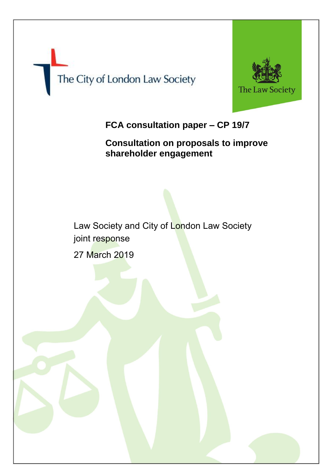



# **FCA consultation paper – CP 19/7**

**Consultation on proposals to improve shareholder engagement**

Law Society and City of London Law Society joint response 27 March 2019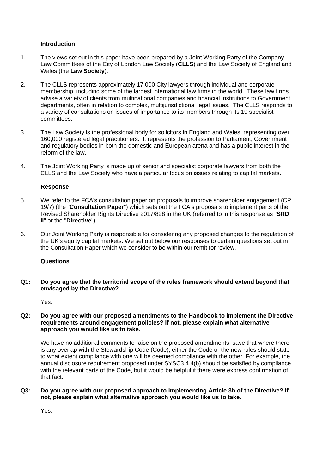# **Introduction**

- 1. The views set out in this paper have been prepared by a Joint Working Party of the Company Law Committees of the City of London Law Society (**CLLS**) and the Law Society of England and Wales (the **Law Society**).
- 2. The CLLS represents approximately 17,000 City lawyers through individual and corporate membership, including some of the largest international law firms in the world. These law firms advise a variety of clients from multinational companies and financial institutions to Government departments, often in relation to complex, multijurisdictional legal issues. The CLLS responds to a variety of consultations on issues of importance to its members through its 19 specialist committees.
- 3. The Law Society is the professional body for solicitors in England and Wales, representing over 160,000 registered legal practitioners. It represents the profession to Parliament, Government and regulatory bodies in both the domestic and European arena and has a public interest in the reform of the law.
- 4. The Joint Working Party is made up of senior and specialist corporate lawyers from both the CLLS and the Law Society who have a particular focus on issues relating to capital markets.

#### **Response**

- 5. We refer to the FCA's consultation paper on proposals to improve shareholder engagement (CP 19/7) (the "**Consultation Paper**") which sets out the FCA's proposals to implement parts of the Revised Shareholder Rights Directive 2017/828 in the UK (referred to in this response as "**SRD II**" or the "**Directive**").
- 6. Our Joint Working Party is responsible for considering any proposed changes to the regulation of the UK's equity capital markets. We set out below our responses to certain questions set out in the Consultation Paper which we consider to be within our remit for review.

# **Questions**

**Q1: Do you agree that the territorial scope of the rules framework should extend beyond that envisaged by the Directive?**

Yes.

## **Q2: Do you agree with our proposed amendments to the Handbook to implement the Directive requirements around engagement policies? If not, please explain what alternative approach you would like us to take.**

We have no additional comments to raise on the proposed amendments, save that where there is any overlap with the Stewardship Code (Code), either the Code or the new rules should state to what extent compliance with one will be deemed compliance with the other. For example, the annual disclosure requirement proposed under SYSC3.4.4(b) should be satisfied by compliance with the relevant parts of the Code, but it would be helpful if there were express confirmation of that fact.

#### **Q3: Do you agree with our proposed approach to implementing Article 3h of the Directive? If not, please explain what alternative approach you would like us to take.**

Yes.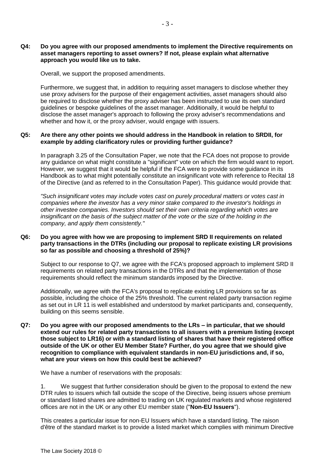## **Q4: Do you agree with our proposed amendments to implement the Directive requirements on asset managers reporting to asset owners? If not, please explain what alternative approach you would like us to take.**

Overall, we support the proposed amendments.

Furthermore, we suggest that, in addition to requiring asset managers to disclose whether they use proxy advisers for the purpose of their engagement activities, asset managers should also be required to disclose whether the proxy adviser has been instructed to use its own standard guidelines or bespoke guidelines of the asset manager. Additionally, it would be helpful to disclose the asset manager's approach to following the proxy adviser's recommendations and whether and how it, or the proxy adviser, would engage with issuers.

#### **Q5: Are there any other points we should address in the Handbook in relation to SRDII, for example by adding clarificatory rules or providing further guidance?**

In paragraph 3.25 of the Consultation Paper, we note that the FCA does not propose to provide any guidance on what might constitute a "significant" vote on which the firm would want to report. However, we suggest that it would be helpful if the FCA were to provide some guidance in its Handbook as to what might potentially constitute an insignificant vote with reference to Recital 18 of the Directive (and as referred to in the Consultation Paper). This guidance would provide that:

*"Such insignificant votes may include votes cast on purely procedural matters or votes cast in companies where the investor has a very minor stake compared to the investor's holdings in other investee companies. Investors should set their own criteria regarding which votes are insignificant on the basis of the subject matter of the vote or the size of the holding in the company, and apply them consistently."*

## **Q6: Do you agree with how we are proposing to implement SRD II requirements on related party transactions in the DTRs (including our proposal to replicate existing LR provisions so far as possible and choosing a threshold of 25%)?**

Subject to our response to Q7, we agree with the FCA's proposed approach to implement SRD II requirements on related party transactions in the DTRs and that the implementation of those requirements should reflect the minimum standards imposed by the Directive.

Additionally, we agree with the FCA's proposal to replicate existing LR provisions so far as possible, including the choice of the 25% threshold. The current related party transaction regime as set out in LR 11 is well established and understood by market participants and, consequently, building on this seems sensible.

**Q7: Do you agree with our proposed amendments to the LRs – in particular, that we should extend our rules for related party transactions to all issuers with a premium listing (except those subject to LR16) or with a standard listing of shares that have their registered office outside of the UK or other EU Member State? Further, do you agree that we should give recognition to compliance with equivalent standards in non-EU jurisdictions and, if so, what are your views on how this could best be achieved?**

We have a number of reservations with the proposals:

1. We suggest that further consideration should be given to the proposal to extend the new DTR rules to issuers which fall outside the scope of the Directive, being issuers whose premium or standard listed shares are admitted to trading on UK regulated markets and whose registered offices are not in the UK or any other EU member state ("**Non-EU Issuers**").

This creates a particular issue for non-EU Issuers which have a standard listing. The raison d'être of the standard market is to provide a listed market which complies with minimum Directive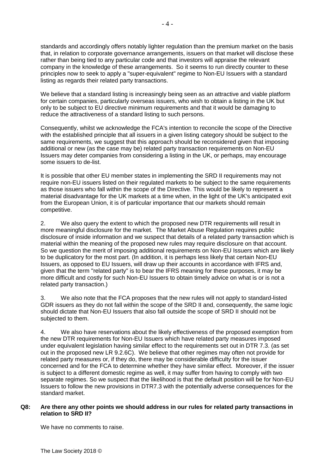standards and accordingly offers notably lighter regulation than the premium market on the basis that, in relation to corporate governance arrangements, issuers on that market will disclose these rather than being tied to any particular code and that investors will appraise the relevant company in the knowledge of these arrangements. So it seems to run directly counter to these principles now to seek to apply a "super-equivalent" regime to Non-EU Issuers with a standard listing as regards their related party transactions.

We believe that a standard listing is increasingly being seen as an attractive and viable platform for certain companies, particularly overseas issuers, who wish to obtain a listing in the UK but only to be subject to EU directive minimum requirements and that it would be damaging to reduce the attractiveness of a standard listing to such persons.

Consequently, whilst we acknowledge the FCA's intention to reconcile the scope of the Directive with the established principle that all issuers in a given listing category should be subject to the same requirements, we suggest that this approach should be reconsidered given that imposing additional or new (as the case may be) related party transaction requirements on Non-EU Issuers may deter companies from considering a listing in the UK, or perhaps, may encourage some issuers to de-list.

It is possible that other EU member states in implementing the SRD II requirements may not require non-EU issuers listed on their regulated markets to be subject to the same requirements as those issuers who fall within the scope of the Directive. This would be likely to represent a material disadvantage for the UK markets at a time when, in the light of the UK's anticipated exit from the European Union, it is of particular importance that our markets should remain competitive.

2. We also query the extent to which the proposed new DTR requirements will result in more meaningful disclosure for the market. The Market Abuse Regulation requires public disclosure of inside information and we suspect that details of a related party transaction which is material within the meaning of the proposed new rules may require disclosure on that account. So we question the merit of imposing additional requirements on Non-EU Issuers which are likely to be duplicatory for the most part. (In addition, it is perhaps less likely that certain Non-EU Issuers, as opposed to EU Issuers, will draw up their accounts in accordance with IFRS and, given that the term "related party" is to bear the IFRS meaning for these purposes, it may be more difficult and costly for such Non-EU Issuers to obtain timely advice on what is or is not a related party transaction.)

3. We also note that the FCA proposes that the new rules will not apply to standard-listed GDR issuers as they do not fall within the scope of the SRD II and, consequently, the same logic should dictate that Non-EU Issuers that also fall outside the scope of SRD II should not be subjected to them.

4. We also have reservations about the likely effectiveness of the proposed exemption from the new DTR requirements for Non-EU Issuers which have related party measures imposed under equivalent legislation having similar effect to the requirements set out in DTR 7.3. (as set out in the proposed new LR 9.2.6C). We believe that other regimes may often not provide for related party measures or, if they do, there may be considerable difficulty for the issuer concerned and for the FCA to determine whether they have similar effect. Moreover, if the issuer is subject to a different domestic regime as well, it may suffer from having to comply with two separate regimes. So we suspect that the likelihood is that the default position will be for Non-EU Issuers to follow the new provisions in DTR7.3 with the potentially adverse consequences for the standard market.

# **Q8: Are there any other points we should address in our rules for related party transactions in relation to SRD II?**

We have no comments to raise.